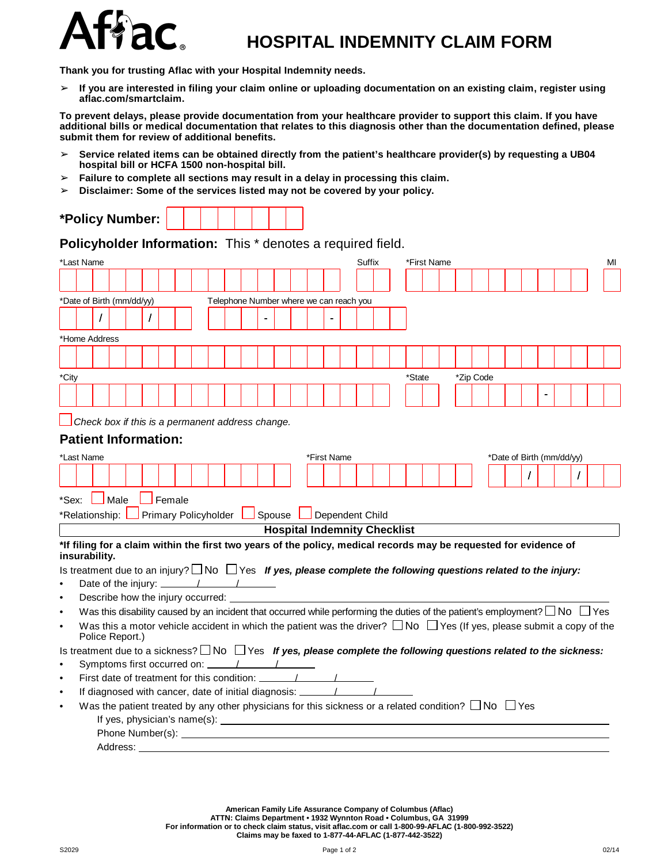

## **HOSPITAL INDEMNITY CLAIM FORM**

**Thank you for trusting Aflac with your Hospital Indemnity needs.**

 $>$  If you are interested in filing your claim online or uploading documentation on an existing claim, register using **aflac.com/smartclaim.**

To prevent delays, please provide documentation from your healthcare provider to support this claim. If you have additional bills or medical documentation that relates to this diagnosis other than the documentation defined, please **submit them for review of additional benefits.**

- ➢ **Service related items can be obtained directly from the patient's healthcare provider(s) by requesting a UB04 hospital bill or HCFA 1500 non-hospital bill.**
- ➢ **Failure to complete all sections may result in a delay in processing this claim.**
- ➢ **Disclaimer: Some of the services listed may not be covered by your policy.**

| *Policy Number: |
|-----------------|
|-----------------|

**Policyholder Information:** This \* denotes a required field.

|                                                                                                                           | *Last Name<br>Suffix<br>*First Name                                                                                                                 |  |          |  |  |  |                                                                                                                |  |  |  |  |  |  |  |  | MI |  |        |  |                           |  |  |  |  |  |  |
|---------------------------------------------------------------------------------------------------------------------------|-----------------------------------------------------------------------------------------------------------------------------------------------------|--|----------|--|--|--|----------------------------------------------------------------------------------------------------------------|--|--|--|--|--|--|--|--|----|--|--------|--|---------------------------|--|--|--|--|--|--|
|                                                                                                                           |                                                                                                                                                     |  |          |  |  |  |                                                                                                                |  |  |  |  |  |  |  |  |    |  |        |  |                           |  |  |  |  |  |  |
|                                                                                                                           | *Date of Birth (mm/dd/yy)<br>Telephone Number where we can reach you                                                                                |  |          |  |  |  |                                                                                                                |  |  |  |  |  |  |  |  |    |  |        |  |                           |  |  |  |  |  |  |
|                                                                                                                           |                                                                                                                                                     |  |          |  |  |  |                                                                                                                |  |  |  |  |  |  |  |  |    |  |        |  |                           |  |  |  |  |  |  |
|                                                                                                                           |                                                                                                                                                     |  |          |  |  |  |                                                                                                                |  |  |  |  |  |  |  |  |    |  |        |  |                           |  |  |  |  |  |  |
|                                                                                                                           | *Home Address                                                                                                                                       |  |          |  |  |  |                                                                                                                |  |  |  |  |  |  |  |  |    |  |        |  |                           |  |  |  |  |  |  |
|                                                                                                                           |                                                                                                                                                     |  |          |  |  |  |                                                                                                                |  |  |  |  |  |  |  |  |    |  |        |  |                           |  |  |  |  |  |  |
|                                                                                                                           |                                                                                                                                                     |  |          |  |  |  |                                                                                                                |  |  |  |  |  |  |  |  |    |  |        |  |                           |  |  |  |  |  |  |
| *City                                                                                                                     |                                                                                                                                                     |  |          |  |  |  |                                                                                                                |  |  |  |  |  |  |  |  |    |  | *State |  | *Zip Code                 |  |  |  |  |  |  |
|                                                                                                                           |                                                                                                                                                     |  |          |  |  |  |                                                                                                                |  |  |  |  |  |  |  |  |    |  |        |  |                           |  |  |  |  |  |  |
|                                                                                                                           |                                                                                                                                                     |  |          |  |  |  |                                                                                                                |  |  |  |  |  |  |  |  |    |  |        |  |                           |  |  |  |  |  |  |
|                                                                                                                           | Check box if this is a permanent address change.                                                                                                    |  |          |  |  |  |                                                                                                                |  |  |  |  |  |  |  |  |    |  |        |  |                           |  |  |  |  |  |  |
| <b>Patient Information:</b>                                                                                               |                                                                                                                                                     |  |          |  |  |  |                                                                                                                |  |  |  |  |  |  |  |  |    |  |        |  |                           |  |  |  |  |  |  |
|                                                                                                                           | *Last Name<br>*First Name                                                                                                                           |  |          |  |  |  |                                                                                                                |  |  |  |  |  |  |  |  |    |  |        |  | *Date of Birth (mm/dd/yy) |  |  |  |  |  |  |
|                                                                                                                           |                                                                                                                                                     |  |          |  |  |  |                                                                                                                |  |  |  |  |  |  |  |  |    |  |        |  |                           |  |  |  |  |  |  |
|                                                                                                                           |                                                                                                                                                     |  |          |  |  |  |                                                                                                                |  |  |  |  |  |  |  |  |    |  |        |  |                           |  |  |  |  |  |  |
|                                                                                                                           | $\Box$ Male<br>$\Box$ Female<br>*Sex:                                                                                                               |  |          |  |  |  |                                                                                                                |  |  |  |  |  |  |  |  |    |  |        |  |                           |  |  |  |  |  |  |
| Primary Policyholder   Spouse   Dependent Child<br>*Relationship:                                                         |                                                                                                                                                     |  |          |  |  |  |                                                                                                                |  |  |  |  |  |  |  |  |    |  |        |  |                           |  |  |  |  |  |  |
|                                                                                                                           | <b>Hospital Indemnity Checklist</b>                                                                                                                 |  |          |  |  |  |                                                                                                                |  |  |  |  |  |  |  |  |    |  |        |  |                           |  |  |  |  |  |  |
| *If filing for a claim within the first two years of the policy, medical records may be requested for evidence of         |                                                                                                                                                     |  |          |  |  |  |                                                                                                                |  |  |  |  |  |  |  |  |    |  |        |  |                           |  |  |  |  |  |  |
| insurability.                                                                                                             |                                                                                                                                                     |  |          |  |  |  |                                                                                                                |  |  |  |  |  |  |  |  |    |  |        |  |                           |  |  |  |  |  |  |
|                                                                                                                           | Is treatment due to an injury? $\Box$ No $\Box$ Yes If yes, please complete the following questions related to the injury:                          |  |          |  |  |  |                                                                                                                |  |  |  |  |  |  |  |  |    |  |        |  |                           |  |  |  |  |  |  |
| Date of the injury: $\frac{1}{\sqrt{1-\frac{1}{2}}}\left\lfloor \frac{1}{\sqrt{1-\frac{1}{2}}}\right\rfloor$<br>$\bullet$ |                                                                                                                                                     |  |          |  |  |  |                                                                                                                |  |  |  |  |  |  |  |  |    |  |        |  |                           |  |  |  |  |  |  |
| $\bullet$                                                                                                                 | Describe how the injury occurred: ____                                                                                                              |  |          |  |  |  |                                                                                                                |  |  |  |  |  |  |  |  |    |  |        |  |                           |  |  |  |  |  |  |
| $\bullet$                                                                                                                 | Was this disability caused by an incident that occurred while performing the duties of the patient's employment? $\Box$ No $\Box$ Yes               |  |          |  |  |  |                                                                                                                |  |  |  |  |  |  |  |  |    |  |        |  |                           |  |  |  |  |  |  |
| $\bullet$                                                                                                                 | Was this a motor vehicle accident in which the patient was the driver? $\Box$ No $\Box$ Yes (If yes, please submit a copy of the<br>Police Report.) |  |          |  |  |  |                                                                                                                |  |  |  |  |  |  |  |  |    |  |        |  |                           |  |  |  |  |  |  |
|                                                                                                                           |                                                                                                                                                     |  |          |  |  |  |                                                                                                                |  |  |  |  |  |  |  |  |    |  |        |  |                           |  |  |  |  |  |  |
| $\bullet$                                                                                                                 | Is treatment due to a sickness? $\Box$ No $\Box$ Yes If yes, please complete the following questions related to the sickness:                       |  |          |  |  |  |                                                                                                                |  |  |  |  |  |  |  |  |    |  |        |  |                           |  |  |  |  |  |  |
| $\bullet$                                                                                                                 |                                                                                                                                                     |  |          |  |  |  |                                                                                                                |  |  |  |  |  |  |  |  |    |  |        |  |                           |  |  |  |  |  |  |
| $\bullet$                                                                                                                 |                                                                                                                                                     |  |          |  |  |  | If diagnosed with cancer, date of initial diagnosis: ___________________________                               |  |  |  |  |  |  |  |  |    |  |        |  |                           |  |  |  |  |  |  |
| $\bullet$                                                                                                                 |                                                                                                                                                     |  |          |  |  |  | Was the patient treated by any other physicians for this sickness or a related condition? $\Box$ No $\Box$ Yes |  |  |  |  |  |  |  |  |    |  |        |  |                           |  |  |  |  |  |  |
|                                                                                                                           |                                                                                                                                                     |  |          |  |  |  |                                                                                                                |  |  |  |  |  |  |  |  |    |  |        |  |                           |  |  |  |  |  |  |
|                                                                                                                           |                                                                                                                                                     |  |          |  |  |  |                                                                                                                |  |  |  |  |  |  |  |  |    |  |        |  |                           |  |  |  |  |  |  |
|                                                                                                                           |                                                                                                                                                     |  | Address: |  |  |  |                                                                                                                |  |  |  |  |  |  |  |  |    |  |        |  |                           |  |  |  |  |  |  |

**American Family Life Assurance Company of Columbus (Aflac)**

ATTN: Claims Department • 1932 Wynnton Road • Columbus, GA 31999<br>For information or to check claim status, visit aflac.com or call 1-800-99-AFLAC (1-800-992-3522)

**Claims may be faxed to 1-877-44-AFLAC (1-877-442-3522)**